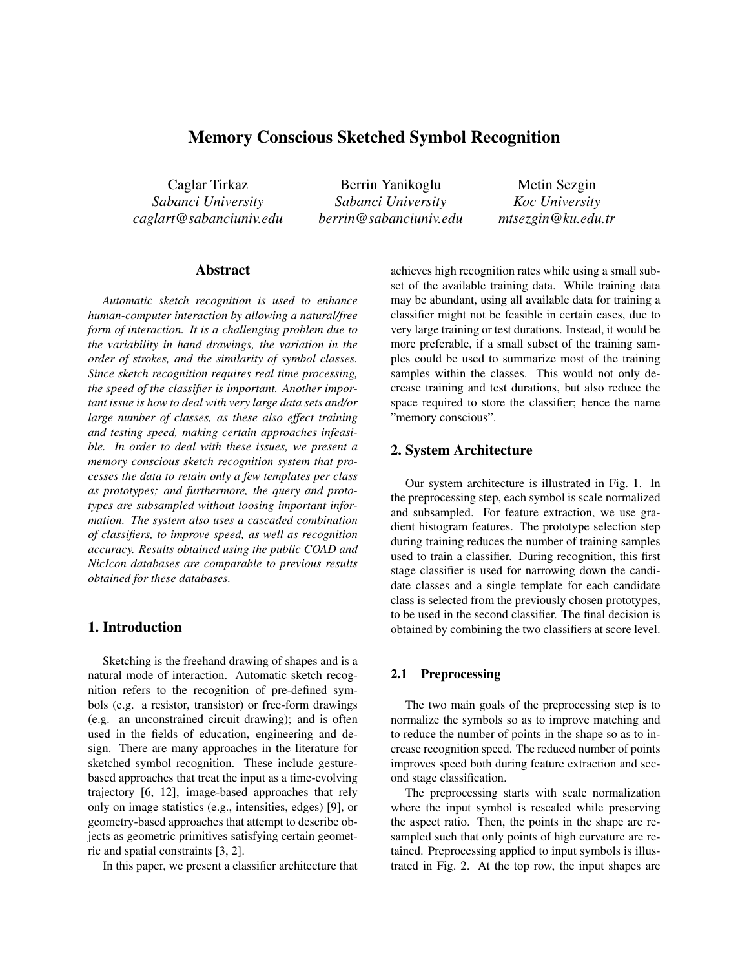# Memory Conscious Sketched Symbol Recognition

Caglar Tirkaz *Sabanci University caglart@sabanciuniv.edu*

Berrin Yanikoglu *Sabanci University berrin@sabanciuniv.edu*

Metin Sezgin *Koc University mtsezgin@ku.edu.tr*

### Abstract

*Automatic sketch recognition is used to enhance human-computer interaction by allowing a natural/free form of interaction. It is a challenging problem due to the variability in hand drawings, the variation in the order of strokes, and the similarity of symbol classes. Since sketch recognition requires real time processing, the speed of the classifier is important. Another important issue is how to deal with very large data sets and/or large number of classes, as these also effect training and testing speed, making certain approaches infeasible. In order to deal with these issues, we present a memory conscious sketch recognition system that processes the data to retain only a few templates per class as prototypes; and furthermore, the query and prototypes are subsampled without loosing important information. The system also uses a cascaded combination of classifiers, to improve speed, as well as recognition accuracy. Results obtained using the public COAD and NicIcon databases are comparable to previous results obtained for these databases.*

## 1. Introduction

Sketching is the freehand drawing of shapes and is a natural mode of interaction. Automatic sketch recognition refers to the recognition of pre-defined symbols (e.g. a resistor, transistor) or free-form drawings (e.g. an unconstrained circuit drawing); and is often used in the fields of education, engineering and design. There are many approaches in the literature for sketched symbol recognition. These include gesturebased approaches that treat the input as a time-evolving trajectory [6, 12], image-based approaches that rely only on image statistics (e.g., intensities, edges) [9], or geometry-based approaches that attempt to describe objects as geometric primitives satisfying certain geometric and spatial constraints [3, 2].

In this paper, we present a classifier architecture that

achieves high recognition rates while using a small subset of the available training data. While training data may be abundant, using all available data for training a classifier might not be feasible in certain cases, due to very large training or test durations. Instead, it would be more preferable, if a small subset of the training samples could be used to summarize most of the training samples within the classes. This would not only decrease training and test durations, but also reduce the space required to store the classifier; hence the name "memory conscious".

## 2. System Architecture

Our system architecture is illustrated in Fig. 1. In the preprocessing step, each symbol is scale normalized and subsampled. For feature extraction, we use gradient histogram features. The prototype selection step during training reduces the number of training samples used to train a classifier. During recognition, this first stage classifier is used for narrowing down the candidate classes and a single template for each candidate class is selected from the previously chosen prototypes, to be used in the second classifier. The final decision is obtained by combining the two classifiers at score level.

#### 2.1 Preprocessing

The two main goals of the preprocessing step is to normalize the symbols so as to improve matching and to reduce the number of points in the shape so as to increase recognition speed. The reduced number of points improves speed both during feature extraction and second stage classification.

The preprocessing starts with scale normalization where the input symbol is rescaled while preserving the aspect ratio. Then, the points in the shape are resampled such that only points of high curvature are retained. Preprocessing applied to input symbols is illustrated in Fig. 2. At the top row, the input shapes are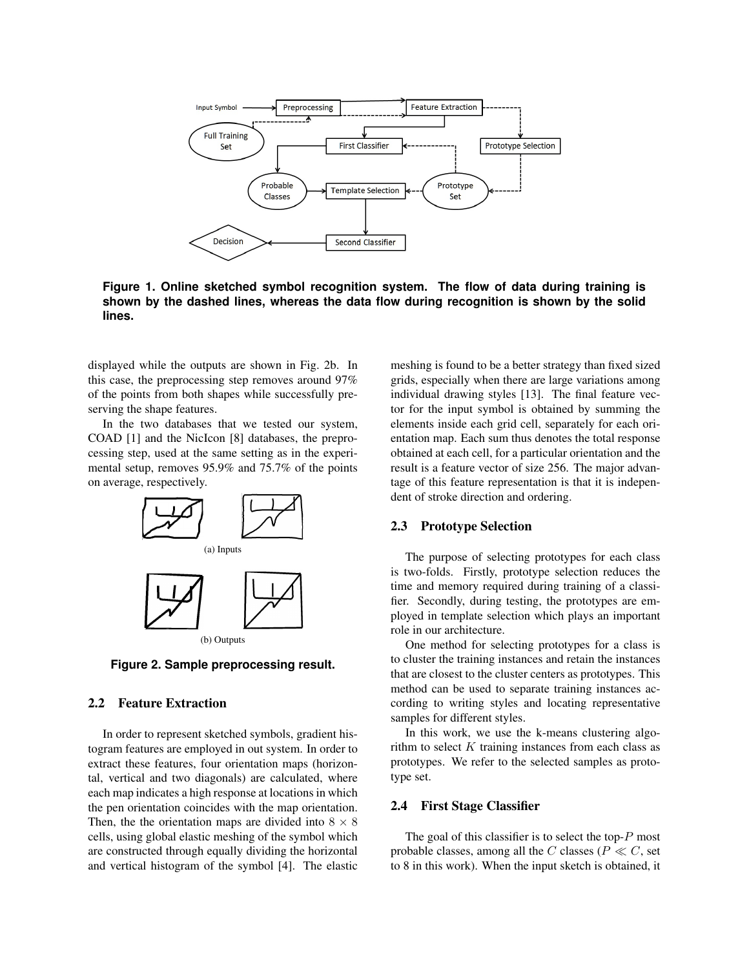

**Figure 1. Online sketched symbol recognition system. The flow of data during training is shown by the dashed lines, whereas the data flow during recognition is shown by the solid lines.**

displayed while the outputs are shown in Fig. 2b. In this case, the preprocessing step removes around 97% of the points from both shapes while successfully preserving the shape features.

In the two databases that we tested our system, COAD [1] and the NicIcon [8] databases, the preprocessing step, used at the same setting as in the experimental setup, removes 95.9% and 75.7% of the points on average, respectively.



**Figure 2. Sample preprocessing result.**

### 2.2 Feature Extraction

In order to represent sketched symbols, gradient histogram features are employed in out system. In order to extract these features, four orientation maps (horizontal, vertical and two diagonals) are calculated, where each map indicates a high response at locations in which the pen orientation coincides with the map orientation. Then, the the orientation maps are divided into  $8 \times 8$ cells, using global elastic meshing of the symbol which are constructed through equally dividing the horizontal and vertical histogram of the symbol [4]. The elastic

meshing is found to be a better strategy than fixed sized grids, especially when there are large variations among individual drawing styles [13]. The final feature vector for the input symbol is obtained by summing the elements inside each grid cell, separately for each orientation map. Each sum thus denotes the total response obtained at each cell, for a particular orientation and the result is a feature vector of size 256. The major advantage of this feature representation is that it is independent of stroke direction and ordering.

## 2.3 Prototype Selection

The purpose of selecting prototypes for each class is two-folds. Firstly, prototype selection reduces the time and memory required during training of a classifier. Secondly, during testing, the prototypes are employed in template selection which plays an important role in our architecture.

One method for selecting prototypes for a class is to cluster the training instances and retain the instances that are closest to the cluster centers as prototypes. This method can be used to separate training instances according to writing styles and locating representative samples for different styles.

In this work, we use the k-means clustering algorithm to select  $K$  training instances from each class as prototypes. We refer to the selected samples as prototype set.

## 2.4 First Stage Classifier

The goal of this classifier is to select the top- $P$  most probable classes, among all the C classes ( $P \ll C$ , set to 8 in this work). When the input sketch is obtained, it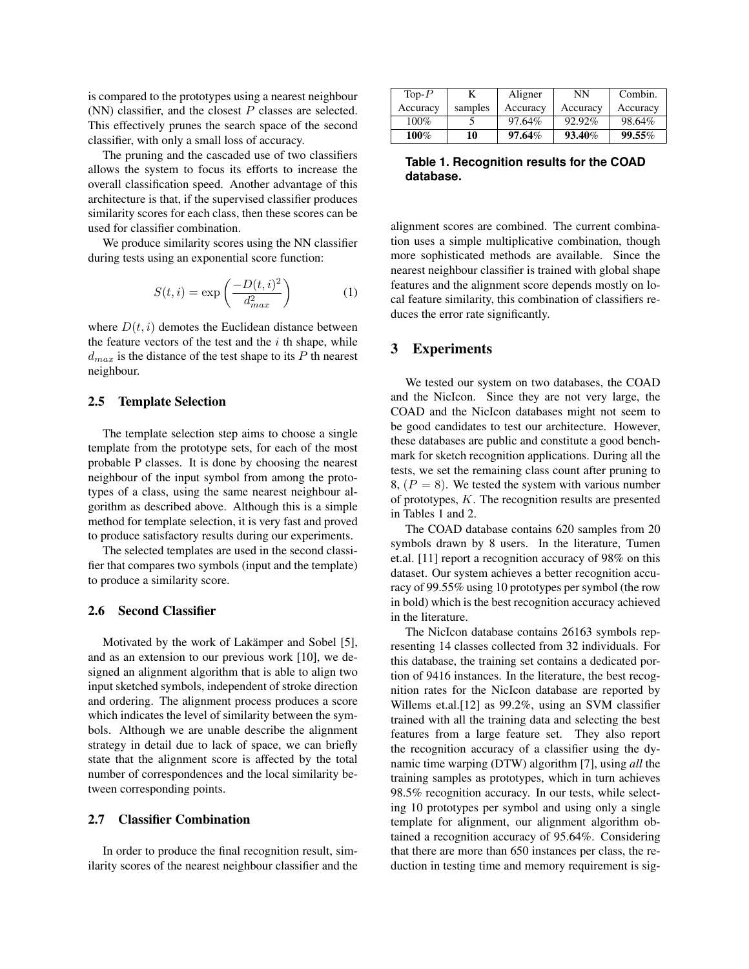is compared to the prototypes using a nearest neighbour (NN) classifier, and the closest  $P$  classes are selected. This effectively prunes the search space of the second classifier, with only a small loss of accuracy.

The pruning and the cascaded use of two classifiers allows the system to focus its efforts to increase the overall classification speed. Another advantage of this architecture is that, if the supervised classifier produces similarity scores for each class, then these scores can be used for classifier combination.

We produce similarity scores using the NN classifier during tests using an exponential score function:

$$
S(t,i) = \exp\left(\frac{-D(t,i)^2}{d_{max}^2}\right) \tag{1}
$$

where  $D(t, i)$  demotes the Euclidean distance between the feature vectors of the test and the  $i$  th shape, while  $d_{max}$  is the distance of the test shape to its P th nearest neighbour.

#### 2.5 Template Selection

The template selection step aims to choose a single template from the prototype sets, for each of the most probable P classes. It is done by choosing the nearest neighbour of the input symbol from among the prototypes of a class, using the same nearest neighbour algorithm as described above. Although this is a simple method for template selection, it is very fast and proved to produce satisfactory results during our experiments.

The selected templates are used in the second classifier that compares two symbols (input and the template) to produce a similarity score.

#### 2.6 Second Classifier

Motivated by the work of Lakämper and Sobel [5], and as an extension to our previous work [10], we designed an alignment algorithm that is able to align two input sketched symbols, independent of stroke direction and ordering. The alignment process produces a score which indicates the level of similarity between the symbols. Although we are unable describe the alignment strategy in detail due to lack of space, we can briefly state that the alignment score is affected by the total number of correspondences and the local similarity between corresponding points.

### 2.7 Classifier Combination

In order to produce the final recognition result, similarity scores of the nearest neighbour classifier and the

| Top- $P$ | K       | Aligner   | NN       | Combin.  |
|----------|---------|-----------|----------|----------|
| Accuracy | samples | Accuracy  | Accuracy | Accuracy |
| $100\%$  |         | 97.64%    | 92.92%   | 98.64%   |
| 100%     | 10      | $97.64\%$ | 93.40%   | 99.55%   |

**Table 1. Recognition results for the COAD database.**

alignment scores are combined. The current combination uses a simple multiplicative combination, though more sophisticated methods are available. Since the nearest neighbour classifier is trained with global shape features and the alignment score depends mostly on local feature similarity, this combination of classifiers reduces the error rate significantly.

## 3 Experiments

We tested our system on two databases, the COAD and the NicIcon. Since they are not very large, the COAD and the NicIcon databases might not seem to be good candidates to test our architecture. However, these databases are public and constitute a good benchmark for sketch recognition applications. During all the tests, we set the remaining class count after pruning to 8,  $(P = 8)$ . We tested the system with various number of prototypes, K. The recognition results are presented in Tables 1 and 2.

The COAD database contains 620 samples from 20 symbols drawn by 8 users. In the literature, Tumen et.al. [11] report a recognition accuracy of 98% on this dataset. Our system achieves a better recognition accuracy of 99.55% using 10 prototypes per symbol (the row in bold) which is the best recognition accuracy achieved in the literature.

The NicIcon database contains 26163 symbols representing 14 classes collected from 32 individuals. For this database, the training set contains a dedicated portion of 9416 instances. In the literature, the best recognition rates for the NicIcon database are reported by Willems et.al.[12] as 99.2%, using an SVM classifier trained with all the training data and selecting the best features from a large feature set. They also report the recognition accuracy of a classifier using the dynamic time warping (DTW) algorithm [7], using *all* the training samples as prototypes, which in turn achieves 98.5% recognition accuracy. In our tests, while selecting 10 prototypes per symbol and using only a single template for alignment, our alignment algorithm obtained a recognition accuracy of 95.64%. Considering that there are more than 650 instances per class, the reduction in testing time and memory requirement is sig-